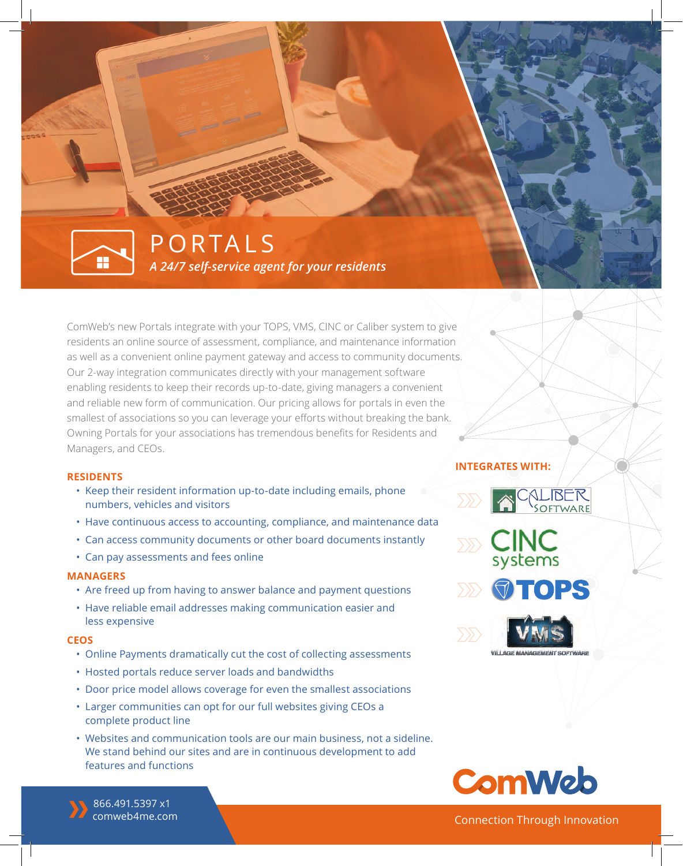## *A 24/7 self-service agent for your residents*  PORTALS

ComWeb's new Portals integrate with your TOPS, VMS, CINC or Caliber system to give residents an online source of assessment, compliance, and maintenance information as well as a convenient online payment gateway and access to community documents. Our 2-way integration communicates directly with your management software enabling residents to keep their records up-to-date, giving managers a convenient and reliable new form of communication. Our pricing allows for portals in even the smallest of associations so you can leverage your efforts without breaking the bank. Owning Portals for your associations has tremendous benefits for Residents and Managers, and CEOs.

#### **RESIDENTS**

- Keep their resident information up-to-date including emails, phone numbers, vehicles and visitors
- Have continuous access to accounting, compliance, and maintenance data
- Can access community documents or other board documents instantly
- Can pay assessments and fees online

#### **MANAGERS**

- Are freed up from having to answer balance and payment questions
- Have reliable email addresses making communication easier and less expensive

#### **CEOS**

- Online Payments dramatically cut the cost of collecting assessments
- Hosted portals reduce server loads and bandwidths
- Door price model allows coverage for even the smallest associations
- Larger communities can opt for our full websites giving CEOs a complete product line
- Websites and communication tools are our main business, not a sideline. We stand behind our sites and are in continuous development to add features and functions

### **INTEGRATES WITH:**



**OTOPS** 





Connection Through Innovation